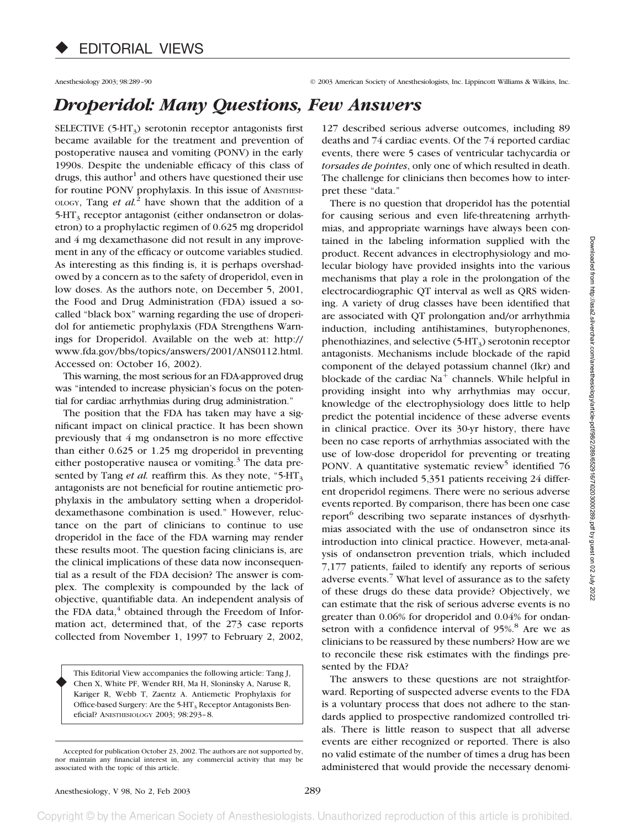Anesthesiology 2003; 98:289–90 © 2003 American Society of Anesthesiologists, Inc. Lippincott Williams & Wilkins, Inc.

## *Droperidol: Many Questions, Few Answers*

SELECTIVE  $(5-HT_3)$  serotonin receptor antagonists first became available for the treatment and prevention of postoperative nausea and vomiting (PONV) in the early 1990s. Despite the undeniable efficacy of this class of drugs, this author<sup>1</sup> and others have questioned their use for routine PONV prophylaxis. In this issue of ANESTHESI-OLOGY, Tang *et al.*<sup>2</sup> have shown that the addition of a  $5-HT<sub>3</sub>$  receptor antagonist (either ondansetron or dolasetron) to a prophylactic regimen of 0.625 mg droperidol and 4 mg dexamethasone did not result in any improvement in any of the efficacy or outcome variables studied. As interesting as this finding is, it is perhaps overshadowed by a concern as to the safety of droperidol, even in low doses. As the authors note, on December 5, 2001, the Food and Drug Administration (FDA) issued a socalled "black box" warning regarding the use of droperidol for antiemetic prophylaxis (FDA Strengthens Warnings for Droperidol. Available on the web at: http:// www.fda.gov/bbs/topics/answers/2001/ANS0112.html. Accessed on: October 16, 2002).

This warning, the most serious for an FDA-approved drug was "intended to increase physician's focus on the potential for cardiac arrhythmias during drug administration."

The position that the FDA has taken may have a significant impact on clinical practice. It has been shown previously that 4 mg ondansetron is no more effective than either 0.625 or 1.25 mg droperidol in preventing either postoperative nausea or vomiting. $3$  The data presented by Tang *et al.* reaffirm this. As they note, "5-HT<sub>3</sub> antagonists are not beneficial for routine antiemetic prophylaxis in the ambulatory setting when a droperidoldexamethasone combination is used." However, reluctance on the part of clinicians to continue to use droperidol in the face of the FDA warning may render these results moot. The question facing clinicians is, are the clinical implications of these data now inconsequential as a result of the FDA decision? The answer is complex. The complexity is compounded by the lack of objective, quantifiable data. An independent analysis of the FDA data, $4$  obtained through the Freedom of Information act, determined that, of the 273 case reports collected from November 1, 1997 to February 2, 2002,

This Editorial View accompanies the following article: Tang J, Chen X, White PF, Wender RH, Ma H, Sloninsky A, Naruse R, Kariger R, Webb T, Zaentz A. Antiemetic Prophylaxis for Office-based Surgery: Are the 5-HT<sub>3</sub> Receptor Antagonists Beneficial? ANESTHESIOLOGY 2003; 98:293–8. ♦

127 described serious adverse outcomes, including 89 deaths and 74 cardiac events. Of the 74 reported cardiac events, there were 5 cases of ventricular tachycardia or *torsades de pointes*, only one of which resulted in death. The challenge for clinicians then becomes how to interpret these "data."

There is no question that droperidol has the potential for causing serious and even life-threatening arrhythmias, and appropriate warnings have always been contained in the labeling information supplied with the product. Recent advances in electrophysiology and molecular biology have provided insights into the various mechanisms that play a role in the prolongation of the electrocardiographic QT interval as well as QRS widening. A variety of drug classes have been identified that are associated with QT prolongation and/or arrhythmia induction, including antihistamines, butyrophenones, phenothiazines, and selective  $(5-HT_3)$  serotonin receptor antagonists. Mechanisms include blockade of the rapid component of the delayed potassium channel (Ikr) and blockade of the cardiac  $Na<sup>+</sup>$  channels. While helpful in providing insight into why arrhythmias may occur, knowledge of the electrophysiology does little to help predict the potential incidence of these adverse events in clinical practice. Over its 30-yr history, there have been no case reports of arrhythmias associated with the use of low-dose droperidol for preventing or treating PONV. A quantitative systematic review<sup>5</sup> identified  $76$ trials, which included 5,351 patients receiving 24 different droperidol regimens. There were no serious adverse events reported. By comparison, there has been one case report<sup>6</sup> describing two separate instances of dysrhythmias associated with the use of ondansetron since its introduction into clinical practice. However, meta-analysis of ondansetron prevention trials, which included 7,177 patients, failed to identify any reports of serious adverse events.<sup>7</sup> What level of assurance as to the safety of these drugs do these data provide? Objectively, we can estimate that the risk of serious adverse events is no greater than 0.06% for droperidol and 0.04% for ondansetron with a confidence interval of 95%.<sup>8</sup> Are we as clinicians to be reassured by these numbers? How are we to reconcile these risk estimates with the findings presented by the FDA?

The answers to these questions are not straightforward. Reporting of suspected adverse events to the FDA is a voluntary process that does not adhere to the standards applied to prospective randomized controlled trials. There is little reason to suspect that all adverse events are either recognized or reported. There is also no valid estimate of the number of times a drug has been administered that would provide the necessary denomi-

Accepted for publication October 23, 2002. The authors are not supported by, nor maintain any financial interest in, any commercial activity that may be associated with the topic of this article.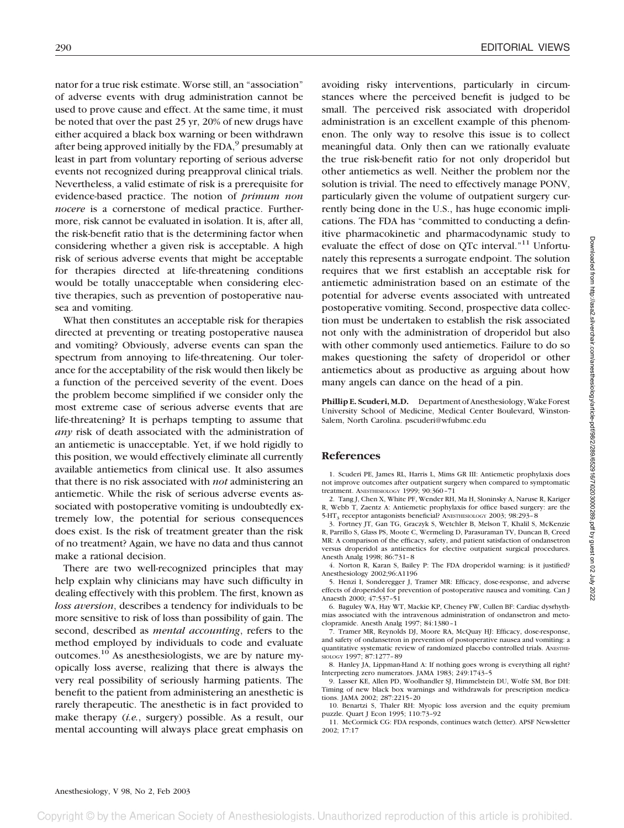nator for a true risk estimate. Worse still, an "association" of adverse events with drug administration cannot be used to prove cause and effect. At the same time, it must be noted that over the past 25 yr, 20% of new drugs have either acquired a black box warning or been withdrawn after being approved initially by the FDA,<sup>9</sup> presumably at least in part from voluntary reporting of serious adverse events not recognized during preapproval clinical trials. Nevertheless, a valid estimate of risk is a prerequisite for evidence-based practice. The notion of *primum non nocere* is a cornerstone of medical practice. Furthermore, risk cannot be evaluated in isolation. It is, after all, the risk-benefit ratio that is the determining factor when considering whether a given risk is acceptable. A high risk of serious adverse events that might be acceptable for therapies directed at life-threatening conditions would be totally unacceptable when considering elective therapies, such as prevention of postoperative nausea and vomiting.

What then constitutes an acceptable risk for therapies directed at preventing or treating postoperative nausea and vomiting? Obviously, adverse events can span the spectrum from annoying to life-threatening. Our tolerance for the acceptability of the risk would then likely be a function of the perceived severity of the event. Does the problem become simplified if we consider only the most extreme case of serious adverse events that are life-threatening? It is perhaps tempting to assume that *any* risk of death associated with the administration of an antiemetic is unacceptable. Yet, if we hold rigidly to this position, we would effectively eliminate all currently available antiemetics from clinical use. It also assumes that there is no risk associated with *not* administering an antiemetic. While the risk of serious adverse events associated with postoperative vomiting is undoubtedly extremely low, the potential for serious consequences does exist. Is the risk of treatment greater than the risk of no treatment? Again, we have no data and thus cannot make a rational decision.

There are two well-recognized principles that may help explain why clinicians may have such difficulty in dealing effectively with this problem. The first, known as *loss aversion*, describes a tendency for individuals to be more sensitive to risk of loss than possibility of gain. The second, described as *mental accounting*, refers to the method employed by individuals to code and evaluate outcomes.10 As anesthesiologists, we are by nature myopically loss averse, realizing that there is always the very real possibility of seriously harming patients. The benefit to the patient from administering an anesthetic is rarely therapeutic. The anesthetic is in fact provided to make therapy (*i.e.*, surgery) possible. As a result, our mental accounting will always place great emphasis on

avoiding risky interventions, particularly in circumstances where the perceived benefit is judged to be small. The perceived risk associated with droperidol administration is an excellent example of this phenomenon. The only way to resolve this issue is to collect meaningful data. Only then can we rationally evaluate the true risk-benefit ratio for not only droperidol but other antiemetics as well. Neither the problem nor the solution is trivial. The need to effectively manage PONV, particularly given the volume of outpatient surgery currently being done in the U.S., has huge economic implications. The FDA has "committed to conducting a definitive pharmacokinetic and pharmacodynamic study to evaluate the effect of dose on QTc interval."<sup>11</sup> Unfortunately this represents a surrogate endpoint. The solution requires that we first establish an acceptable risk for antiemetic administration based on an estimate of the potential for adverse events associated with untreated postoperative vomiting. Second, prospective data collection must be undertaken to establish the risk associated not only with the administration of droperidol but also with other commonly used antiemetics. Failure to do so makes questioning the safety of droperidol or other antiemetics about as productive as arguing about how many angels can dance on the head of a pin.

**Phillip E. Scuderi, M.D.** Department of Anesthesiology, Wake Forest University School of Medicine, Medical Center Boulevard, Winston-Salem, North Carolina. pscuderi@wfubmc.edu

## **References**

1. Scuderi PE, James RL, Harris L, Mims GR III: Antiemetic prophylaxis does not improve outcomes after outpatient surgery when compared to symptomatic treatment. ANESTHESIOLOGY 1999; 90:360–71

2. Tang J, Chen X, White PF, Wender RH, Ma H, Sloninsky A, Naruse R, Kariger R, Webb T, Zaentz A: Antiemetic prophylaxis for office based surgery: are the 5-HT3 receptor antagonists beneficial? ANESTHESIOLOGY 2003; 98:293–8

3. Fortney JT, Gan TG, Graczyk S, Wetchler B, Melson T, Khalil S, McKenzie R, Parrillo S, Glass PS, Moote C, Wermeling D, Parasuraman TV, Duncan B, Creed MR: A comparison of the efficacy, safety, and patient satisfaction of ondansetron versus droperidol as antiemetics for elective outpatient surgical procedures. Anesth Analg 1998; 86:731–8

4. Norton R, Karan S, Bailey P: The FDA droperidol warning: is it justified? Anesthesiology 2002;96:A1196

5. Henzi I, Sonderegger J, Tramer MR: Efficacy, dose-response, and adverse effects of droperidol for prevention of postoperative nausea and vomiting. Can J Anaesth 2000; 47:537–51

6. Baguley WA, Hay WT, Mackie KP, Cheney FW, Cullen BF: Cardiac dysrhythmias associated with the intravenous administration of ondansetron and metoclopramide. Anesth Analg 1997; 84:1380–1

7. Tramer MR, Reynolds DJ, Moore RA, McQuay HJ: Efficacy, dose-response, and safety of ondansetron in prevention of postoperative nausea and vomiting: a quantitative systematic review of randomized placebo controlled trials. ANESTHE-SIOLOGY 1997; 87:1277–89

8. Hanley JA, Lippman-Hand A: If nothing goes wrong is everything all right? Interpreting zero numerators. JAMA 1983; 249:1743–5

9. Lasser KE, Allen PD, Woolhandler SJ, Himmelstein DU, Wolfe SM, Bor DH: Timing of new black box warnings and withdrawals for prescription medications. JAMA 2002; 287:2215–20

10. Benartzi S, Thaler RH: Myopic loss aversion and the equity premium puzzle. Quart J Econ 1995; 110:73–92

11. McCormick CG: FDA responds, continues watch (letter). APSF Newsletter 2002; 17:17